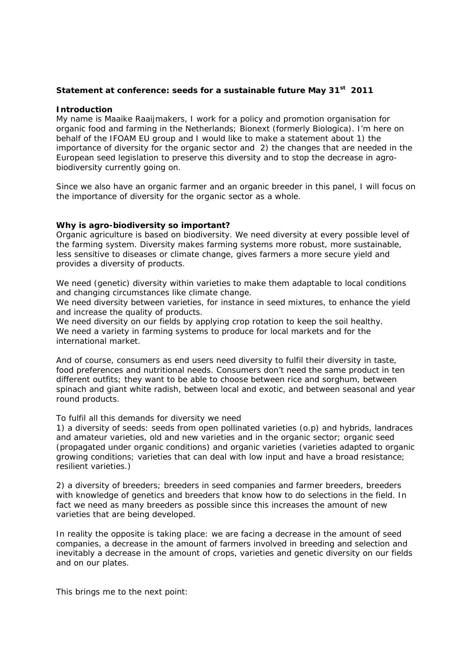## **Statement at conference: seeds for a sustainable future May 31st 2011**

#### **Introduction**

My name is Maaike Raaijmakers, I work for a policy and promotion organisation for organic food and farming in the Netherlands; Bionext (formerly Biologica). I'm here on behalf of the IFOAM EU group and I would like to make a statement about 1) the importance of diversity for the organic sector and 2) the changes that are needed in the European seed legislation to preserve this diversity and to stop the decrease in agrobiodiversity currently going on.

Since we also have an organic farmer and an organic breeder in this panel, I will focus on the importance of diversity for the organic sector as a whole.

#### **Why is agro-biodiversity so important?**

Organic agriculture is based on biodiversity. We need diversity at every possible level of the farming system. Diversity makes farming systems more robust, more sustainable, less sensitive to diseases or climate change, gives farmers a more secure yield and provides a diversity of products.

We need (genetic) diversity within varieties to make them adaptable to local conditions and changing circumstances like climate change.

We need diversity between varieties, for instance in seed mixtures, to enhance the yield and increase the quality of products.

We need diversity on our fields by applying crop rotation to keep the soil healthy. We need a variety in farming systems to produce for local markets and for the international market.

And of course, consumers as end users need diversity to fulfil their diversity in taste, food preferences and nutritional needs. Consumers don't need the same product in ten different outfits; they want to be able to choose between rice and sorghum, between spinach and giant white radish, between local and exotic, and between seasonal and year round products.

To fulfil all this demands for diversity we need

1) a diversity of seeds: seeds from open pollinated varieties (o.p) and hybrids, landraces and amateur varieties, old and new varieties and in the organic sector; organic seed (propagated under organic conditions) and organic varieties (varieties adapted to organic growing conditions; varieties that can deal with low input and have a broad resistance; resilient varieties.)

2) a diversity of breeders; breeders in seed companies and farmer breeders, breeders with knowledge of genetics and breeders that know how to do selections in the field. In fact we need as many breeders as possible since this increases the amount of new varieties that are being developed.

In reality the opposite is taking place: we are facing a decrease in the amount of seed companies, a decrease in the amount of farmers involved in breeding and selection and inevitably a decrease in the amount of crops, varieties and genetic diversity on our fields and on our plates.

This brings me to the next point: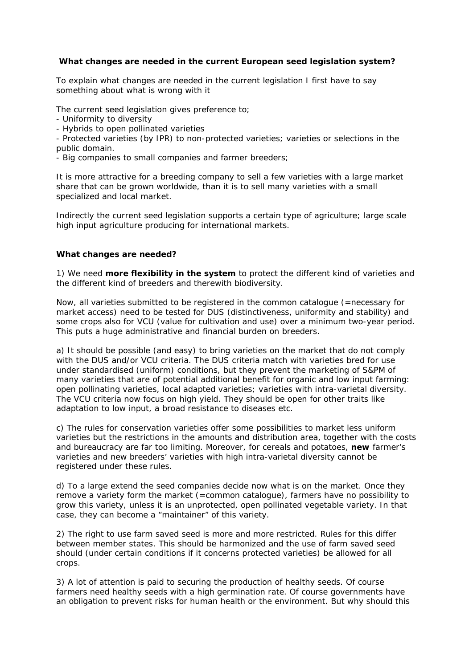# **What changes are needed in the current European seed legislation system?**

To explain what changes are needed in the current legislation I first have to say something about what is wrong with it

The current seed legislation gives preference to;

- Uniformity to diversity
- Hybrids to open pollinated varieties

- Protected varieties (by IPR) to non-protected varieties; varieties or selections in the public domain.

- Big companies to small companies and farmer breeders;

It is more attractive for a breeding company to sell a few varieties with a large market share that can be grown worldwide, than it is to sell many varieties with a small specialized and local market.

Indirectly the current seed legislation supports a certain type of agriculture; large scale high input agriculture producing for international markets.

### **What changes are needed?**

1) We need **more flexibility in the system** to protect the different kind of varieties and the different kind of breeders and therewith biodiversity.

Now, all varieties submitted to be registered in the common catalogue (=necessary for market access) need to be tested for DUS (distinctiveness, uniformity and stability) and some crops also for VCU (value for cultivation and use) over a minimum two-year period. This puts a huge administrative and financial burden on breeders.

a) It should be possible (and easy) to bring varieties on the market that do not comply with the DUS and/or VCU criteria. The DUS criteria match with varieties bred for use under standardised (uniform) conditions, but they prevent the marketing of S&PM of many varieties that are of potential additional benefit for organic and low input farming: open pollinating varieties, local adapted varieties; varieties with intra-varietal diversity. The VCU criteria now focus on high yield. They should be open for other traits like adaptation to low input, a broad resistance to diseases etc.

c) The rules for conservation varieties offer some possibilities to market less uniform varieties but the restrictions in the amounts and distribution area, together with the costs and bureaucracy are far too limiting. Moreover, for cereals and potatoes, **new** farmer's varieties and new breeders' varieties with high intra-varietal diversity cannot be registered under these rules.

d) To a large extend the seed companies decide now what is on the market. Once they remove a variety form the market (=common catalogue), farmers have no possibility to grow this variety, unless it is an unprotected, open pollinated vegetable variety. In that case, they can become a "maintainer" of this variety.

2) The right to use farm saved seed is more and more restricted. Rules for this differ between member states. This should be harmonized and the use of farm saved seed should (under certain conditions if it concerns protected varieties) be allowed for all crops.

3) A lot of attention is paid to securing the production of healthy seeds. Of course farmers need healthy seeds with a high germination rate. Of course governments have an obligation to prevent risks for human health or the environment. But why should this